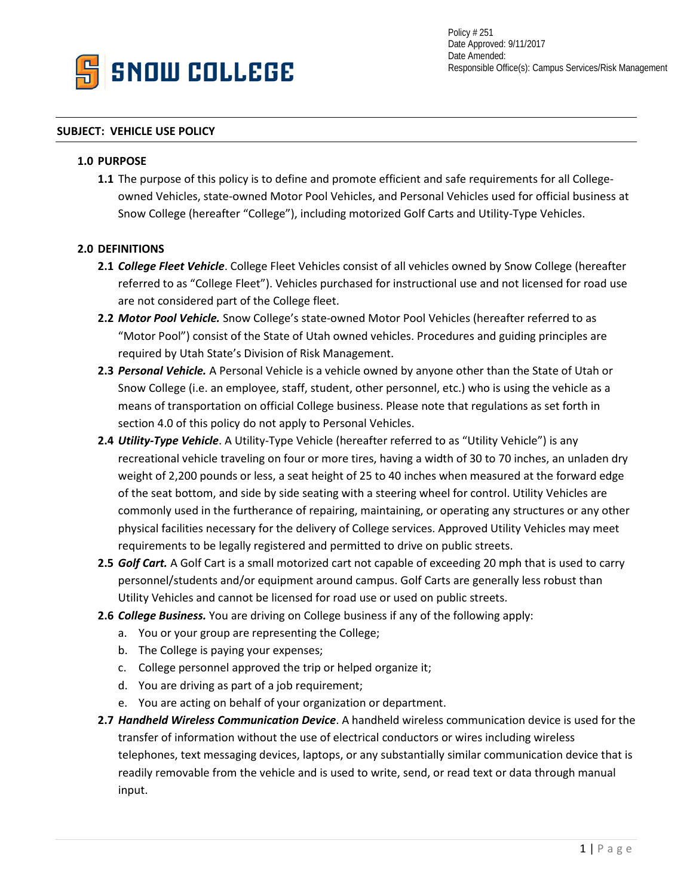

Policy # 251 Date Approved: 9/11/2017 Date Amended: Responsible Office(s): Campus Services/Risk Management

### **SUBJECT: VEHICLE USE POLICY**

### **1.0 PURPOSE**

**1.1** The purpose of this policy is to define and promote efficient and safe requirements for all Collegeowned Vehicles, state-owned Motor Pool Vehicles, and Personal Vehicles used for official business at Snow College (hereafter "College"), including motorized Golf Carts and Utility-Type Vehicles.

## **2.0 DEFINITIONS**

- **2.1** *College Fleet Vehicle*. College Fleet Vehicles consist of all vehicles owned by Snow College (hereafter referred to as "College Fleet"). Vehicles purchased for instructional use and not licensed for road use are not considered part of the College fleet.
- **2.2** *Motor Pool Vehicle.* Snow College's state-owned Motor Pool Vehicles (hereafter referred to as "Motor Pool") consist of the State of Utah owned vehicles. Procedures and guiding principles are required by Utah State's Division of Risk Management.
- **2.3** *Personal Vehicle.* A Personal Vehicle is a vehicle owned by anyone other than the State of Utah or Snow College (i.e. an employee, staff, student, other personnel, etc.) who is using the vehicle as a means of transportation on official College business. Please note that regulations as set forth in section 4.0 of this policy do not apply to Personal Vehicles.
- **2.4** *Utility-Type Vehicle*. A Utility-Type Vehicle (hereafter referred to as "Utility Vehicle") is any recreational vehicle traveling on four or more tires, having a width of 30 to 70 inches, an unladen dry weight of 2,200 pounds or less, a seat height of 25 to 40 inches when measured at the forward edge of the seat bottom, and side by side seating with a steering wheel for control. Utility Vehicles are commonly used in the furtherance of repairing, maintaining, or operating any structures or any other physical facilities necessary for the delivery of College services. Approved Utility Vehicles may meet requirements to be legally registered and permitted to drive on public streets.
- **2.5** *Golf Cart.* A Golf Cart is a small motorized cart not capable of exceeding 20 mph that is used to carry personnel/students and/or equipment around campus. Golf Carts are generally less robust than Utility Vehicles and cannot be licensed for road use or used on public streets.
- **2.6** *College Business.* You are driving on College business if any of the following apply:
	- a. You or your group are representing the College;
	- b. The College is paying your expenses;
	- c. College personnel approved the trip or helped organize it;
	- d. You are driving as part of a job requirement;
	- e. You are acting on behalf of your organization or department.
- **2.7** *Handheld Wireless Communication Device*. A handheld wireless communication device is used for the transfer of information without the use of electrical conductors or wires including wireless telephones, text messaging devices, laptops, or any substantially similar communication device that is readily removable from the vehicle and is used to write, send, or read text or data through manual input.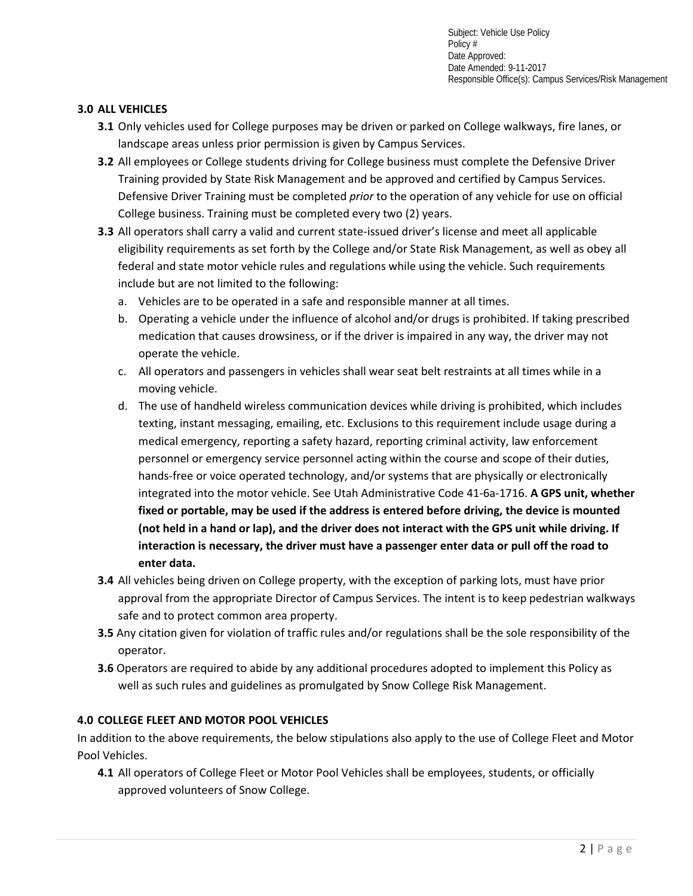Subject: Vehicle Use Policy Policy # Date Approved: Date Amended: 9-11-2017 Responsible Office(s): Campus Services/Risk Management

## **3.0 ALL VEHICLES**

- **3.1** Only vehicles used for College purposes may be driven or parked on College walkways, fire lanes, or landscape areas unless prior permission is given by Campus Services.
- **3.2** All employees or College students driving for College business must complete the Defensive Driver Training provided by State Risk Management and be approved and certified by Campus Services. Defensive Driver Training must be completed *prior* to the operation of any vehicle for use on official College business. Training must be completed every two (2) years.
- **3.3** All operators shall carry a valid and current state-issued driver's license and meet all applicable eligibility requirements as set forth by the College and/or State Risk Management, as well as obey all federal and state motor vehicle rules and regulations while using the vehicle. Such requirements include but are not limited to the following:
	- a. Vehicles are to be operated in a safe and responsible manner at all times.
	- b. Operating a vehicle under the influence of alcohol and/or drugs is prohibited. If taking prescribed medication that causes drowsiness, or if the driver is impaired in any way, the driver may not operate the vehicle.
	- c. All operators and passengers in vehicles shall wear seat belt restraints at all times while in a moving vehicle.
	- d. The use of handheld wireless communication devices while driving is prohibited, which includes texting, instant messaging, emailing, etc. Exclusions to this requirement include usage during a medical emergency, reporting a safety hazard, reporting criminal activity, law enforcement personnel or emergency service personnel acting within the course and scope of their duties, hands-free or voice operated technology, and/or systems that are physically or electronically integrated into the motor vehicle. See Utah Administrative Code 41-6a-1716. **A GPS unit, whether fixed or portable, may be used if the address is entered before driving, the device is mounted (not held in a hand or lap), and the driver does not interact with the GPS unit while driving. If interaction is necessary, the driver must have a passenger enter data or pull off the road to enter data.**
- **3.4** All vehicles being driven on College property, with the exception of parking lots, must have prior approval from the appropriate Director of Campus Services. The intent is to keep pedestrian walkways safe and to protect common area property.
- **3.5** Any citation given for violation of traffic rules and/or regulations shall be the sole responsibility of the operator.
- **3.6** Operators are required to abide by any additional procedures adopted to implement this Policy as well as such rules and guidelines as promulgated by Snow College Risk Management.

# **4.0 COLLEGE FLEET AND MOTOR POOL VEHICLES**

In addition to the above requirements, the below stipulations also apply to the use of College Fleet and Motor Pool Vehicles.

**4.1** All operators of College Fleet or Motor Pool Vehicles shall be employees, students, or officially approved volunteers of Snow College.